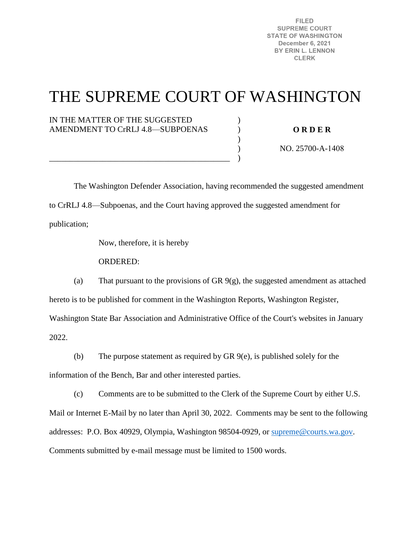**FILED SUPREME COURT STATE OF WASHINGTON** December 6, 2021 BY ERIN L. LENNON **CLERK** 

## THE SUPREME COURT OF WASHINGTON

) ) )  $\lambda$ )

## IN THE MATTER OF THE SUGGESTED AMENDMENT TO CrRLJ 4.8—SUBPOENAS

\_\_\_\_\_\_\_\_\_\_\_\_\_\_\_\_\_\_\_\_\_\_\_\_\_\_\_\_\_\_\_\_\_\_\_\_\_\_\_\_\_\_\_\_

**O R D E R** 

NO. 25700-A-1408

 The Washington Defender Association, having recommended the suggested amendment to CrRLJ 4.8—Subpoenas, and the Court having approved the suggested amendment for publication;

Now, therefore, it is hereby

ORDERED:

(a) That pursuant to the provisions of GR 9(g), the suggested amendment as attached hereto is to be published for comment in the Washington Reports, Washington Register, Washington State Bar Association and Administrative Office of the Court's websites in January 2022.

(b) The purpose statement as required by GR 9(e), is published solely for the

information of the Bench, Bar and other interested parties.

(c) Comments are to be submitted to the Clerk of the Supreme Court by either U.S. Mail or Internet E-Mail by no later than April 30, 2022. Comments may be sent to the following addresses: P.O. Box 40929, Olympia, Washington 98504-0929, or [supreme@courts.wa.gov.](mailto:supreme@courts.wa.gov) Comments submitted by e-mail message must be limited to 1500 words.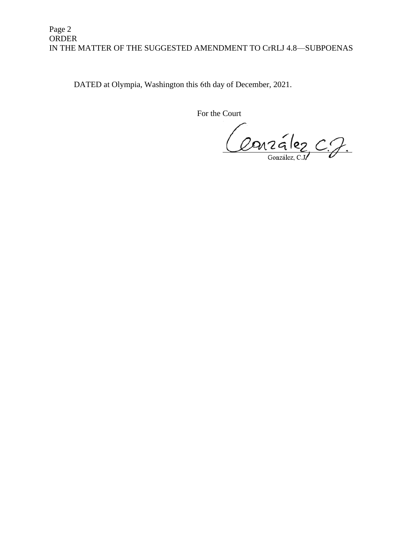## Page 2 ORDER IN THE MATTER OF THE SUGGESTED AMENDMENT TO CrRLJ 4.8—SUBPOENAS

DATED at Olympia, Washington this 6th day of December, 2021.

For the Court

Conzález C.J.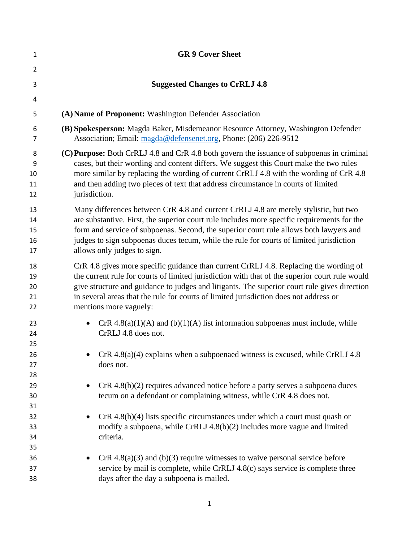| $\mathbf{1}$               | <b>GR 9 Cover Sheet</b>                                                                                                                                                                                                                                                                                                                                                                                    |
|----------------------------|------------------------------------------------------------------------------------------------------------------------------------------------------------------------------------------------------------------------------------------------------------------------------------------------------------------------------------------------------------------------------------------------------------|
| $\overline{2}$             |                                                                                                                                                                                                                                                                                                                                                                                                            |
| 3                          | <b>Suggested Changes to CrRLJ 4.8</b>                                                                                                                                                                                                                                                                                                                                                                      |
| 4                          |                                                                                                                                                                                                                                                                                                                                                                                                            |
| 5                          | (A) Name of Proponent: Washington Defender Association                                                                                                                                                                                                                                                                                                                                                     |
| 6<br>$\overline{7}$        | (B) Spokesperson: Magda Baker, Misdemeanor Resource Attorney, Washington Defender<br>Association; Email: magda@defensenet.org, Phone: (206) 226-9512                                                                                                                                                                                                                                                       |
| 8<br>9<br>10<br>11<br>12   | (C) Purpose: Both CrRLJ 4.8 and CrR 4.8 both govern the issuance of subpoenas in criminal<br>cases, but their wording and content differs. We suggest this Court make the two rules<br>more similar by replacing the wording of current CrRLJ 4.8 with the wording of CrR 4.8<br>and then adding two pieces of text that address circumstance in courts of limited<br>jurisdiction.                        |
| 13<br>14<br>15<br>16<br>17 | Many differences between CrR 4.8 and current CrRLJ 4.8 are merely stylistic, but two<br>are substantive. First, the superior court rule includes more specific requirements for the<br>form and service of subpoenas. Second, the superior court rule allows both lawyers and<br>judges to sign subpoenas duces tecum, while the rule for courts of limited jurisdiction<br>allows only judges to sign.    |
| 18<br>19<br>20<br>21<br>22 | CrR 4.8 gives more specific guidance than current CrRLJ 4.8. Replacing the wording of<br>the current rule for courts of limited jurisdiction with that of the superior court rule would<br>give structure and guidance to judges and litigants. The superior court rule gives direction<br>in several areas that the rule for courts of limited jurisdiction does not address or<br>mentions more vaguely: |
| 23<br>24<br>25             | CrR $4.8(a)(1)(A)$ and $(b)(1)(A)$ list information subpoenas must include, while<br>CrRLJ 4.8 does not.                                                                                                                                                                                                                                                                                                   |
| 26<br>27<br>28             | $CrR$ 4.8(a)(4) explains when a subpoenaed witness is excused, while CrRLJ 4.8<br>does not.                                                                                                                                                                                                                                                                                                                |
| 29<br>30<br>31             | $CrR$ 4.8(b)(2) requires advanced notice before a party serves a subpoena duces<br>tecum on a defendant or complaining witness, while CrR 4.8 does not.                                                                                                                                                                                                                                                    |
| 32<br>33<br>34<br>35       | $CrR$ 4.8(b)(4) lists specific circumstances under which a court must quash or<br>modify a subpoena, while CrRLJ 4.8(b)(2) includes more vague and limited<br>criteria.                                                                                                                                                                                                                                    |
| 36<br>37<br>38             | $CrR$ 4.8(a)(3) and (b)(3) require witnesses to waive personal service before<br>service by mail is complete, while CrRLJ 4.8(c) says service is complete three<br>days after the day a subpoena is mailed.                                                                                                                                                                                                |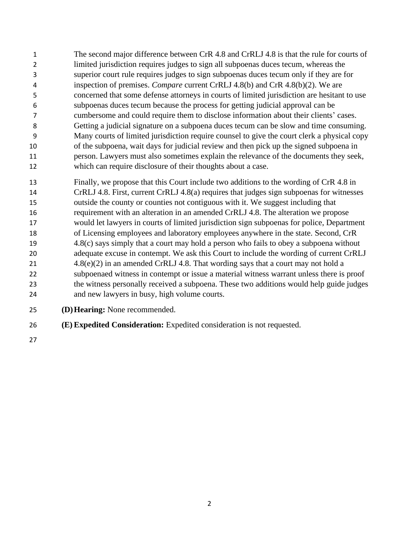- The second major difference between CrR 4.8 and CrRLJ 4.8 is that the rule for courts of limited jurisdiction requires judges to sign all subpoenas duces tecum, whereas the superior court rule requires judges to sign subpoenas duces tecum only if they are for inspection of premises. *Compare* current CrRLJ 4.8(b) and CrR 4.8(b)(2). We are concerned that some defense attorneys in courts of limited jurisdiction are hesitant to use subpoenas duces tecum because the process for getting judicial approval can be cumbersome and could require them to disclose information about their clients' cases. Getting a judicial signature on a subpoena duces tecum can be slow and time consuming. Many courts of limited jurisdiction require counsel to give the court clerk a physical copy of the subpoena, wait days for judicial review and then pick up the signed subpoena in person. Lawyers must also sometimes explain the relevance of the documents they seek, which can require disclosure of their thoughts about a case.
- Finally, we propose that this Court include two additions to the wording of CrR 4.8 in CrRLJ 4.8. First, current CrRLJ 4.8(a) requires that judges sign subpoenas for witnesses outside the county or counties not contiguous with it. We suggest including that requirement with an alteration in an amended CrRLJ 4.8. The alteration we propose would let lawyers in courts of limited jurisdiction sign subpoenas for police, Department of Licensing employees and laboratory employees anywhere in the state. Second, CrR 4.8(c) says simply that a court may hold a person who fails to obey a subpoena without adequate excuse in contempt. We ask this Court to include the wording of current CrRLJ 4.8(e)(2) in an amended CrRLJ 4.8. That wording says that a court may not hold a subpoenaed witness in contempt or issue a material witness warrant unless there is proof the witness personally received a subpoena. These two additions would help guide judges and new lawyers in busy, high volume courts.
- **(D)Hearing:** None recommended.
- **(E)Expedited Consideration:** Expedited consideration is not requested.
-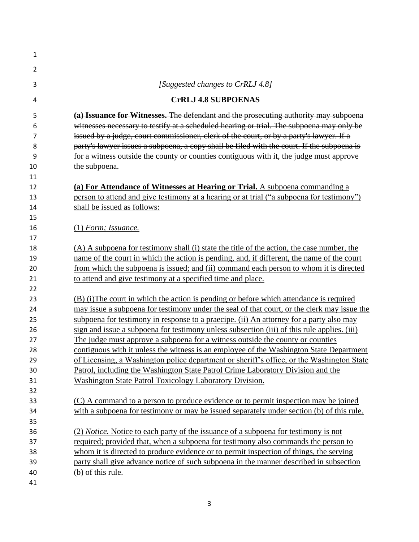| 1              |                                                                                             |
|----------------|---------------------------------------------------------------------------------------------|
| $\overline{2}$ |                                                                                             |
| 3              | [Suggested changes to CrRLJ 4.8]                                                            |
| 4              | <b>CrRLJ 4.8 SUBPOENAS</b>                                                                  |
| 5              | (a) Issuance for Witnesses. The defendant and the prosecuting authority may subpoena        |
| 6              | witnesses necessary to testify at a scheduled hearing or trial. The subpoena may only be    |
| 7              | issued by a judge, court commissioner, clerk of the court, or by a party's lawyer. If a     |
| 8              | party's lawyer issues a subpoena, a copy shall be filed with the court. If the subpoena is  |
| 9              | for a witness outside the county or counties contiguous with it, the judge must approve     |
| 10             | the subpoena.                                                                               |
| 11             |                                                                                             |
| 12             | (a) For Attendance of Witnesses at Hearing or Trial. A subpoena commanding a                |
| 13             | person to attend and give testimony at a hearing or at trial ("a subpoena for testimony")   |
| 14             | shall be issued as follows:                                                                 |
| 15             |                                                                                             |
| 16             | $(1)$ Form; Issuance.                                                                       |
| 17             |                                                                                             |
| 18             | (A) A subpoena for testimony shall (i) state the title of the action, the case number, the  |
| 19             | name of the court in which the action is pending, and, if different, the name of the court  |
| 20             | from which the subpoena is issued; and (ii) command each person to whom it is directed      |
| 21             | to attend and give testimony at a specified time and place.                                 |
| 22             |                                                                                             |
| 23             | (B) (i) The court in which the action is pending or before which attendance is required     |
| 24             | may issue a subpoena for testimony under the seal of that court, or the clerk may issue the |
| 25             | subpoena for testimony in response to a praecipe. (ii) An attorney for a party also may     |
| 26             | sign and issue a subpoena for testimony unless subsection (iii) of this rule applies. (iii) |
| 27             | The judge must approve a subpoena for a witness outside the county or counties              |
| 28             | contiguous with it unless the witness is an employee of the Washington State Department     |
| 29             | of Licensing, a Washington police department or sheriff's office, or the Washington State   |
| 30             | Patrol, including the Washington State Patrol Crime Laboratory Division and the             |
| 31             | Washington State Patrol Toxicology Laboratory Division.                                     |
| 32             |                                                                                             |
| 33             | (C) A command to a person to produce evidence or to permit inspection may be joined         |
| 34             | with a subpoena for testimony or may be issued separately under section (b) of this rule.   |
| 35             |                                                                                             |
| 36             | (2) Notice. Notice to each party of the issuance of a subpoena for testimony is not         |
| 37             | required; provided that, when a subpoena for testimony also commands the person to          |
| 38             | whom it is directed to produce evidence or to permit inspection of things, the serving      |
| 39             | party shall give advance notice of such subpoena in the manner described in subsection      |
| 40             | (b) of this rule.                                                                           |
| 41             |                                                                                             |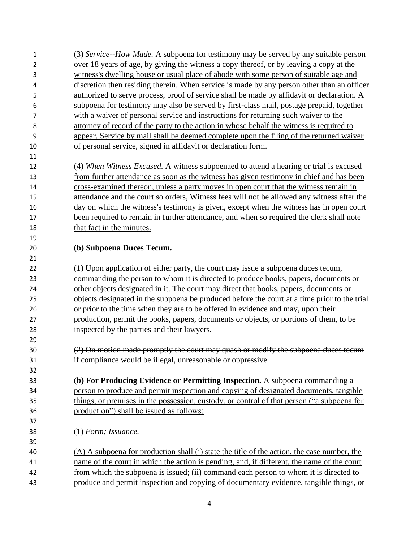| 1  | (3) Service--How Made. A subpoena for testimony may be served by any suitable person         |
|----|----------------------------------------------------------------------------------------------|
| 2  | over 18 years of age, by giving the witness a copy thereof, or by leaving a copy at the      |
| 3  | witness's dwelling house or usual place of abode with some person of suitable age and        |
| 4  | discretion then residing therein. When service is made by any person other than an officer   |
| 5  | authorized to serve process, proof of service shall be made by affidavit or declaration. A   |
| 6  | subpoena for testimony may also be served by first-class mail, postage prepaid, together     |
| 7  | with a waiver of personal service and instructions for returning such waiver to the          |
| 8  | attorney of record of the party to the action in whose behalf the witness is required to     |
| 9  | appear. Service by mail shall be deemed complete upon the filing of the returned waiver      |
| 10 | of personal service, signed in affidavit or declaration form.                                |
| 11 |                                                                                              |
| 12 | (4) When Witness Excused. A witness subpoenaed to attend a hearing or trial is excused       |
| 13 | from further attendance as soon as the witness has given testimony in chief and has been     |
| 14 | cross-examined thereon, unless a party moves in open court that the witness remain in        |
| 15 | attendance and the court so orders, Witness fees will not be allowed any witness after the   |
| 16 | day on which the witness's testimony is given, except when the witness has in open court     |
| 17 | been required to remain in further attendance, and when so required the clerk shall note     |
| 18 | that fact in the minutes.                                                                    |
| 19 |                                                                                              |
| 20 | (b) Subpoena Duces Tecum.                                                                    |
| 21 |                                                                                              |
| 22 | (1) Upon application of either party, the court may issue a subpoena duces tecum,            |
| 23 | commanding the person to whom it is directed to produce books, papers, documents or          |
| 24 | other objects designated in it. The court may direct that books, papers, documents or        |
| 25 | objects designated in the subpoena be produced before the court at a time prior to the trial |
| 26 | or prior to the time when they are to be offered in evidence and may, upon their             |
| 27 | production, permit the books, papers, documents or objects, or portions of them, to be       |
| 28 | inspected by the parties and their lawyers.                                                  |
| 29 |                                                                                              |
| 30 | (2) On motion made promptly the court may quash or modify the subpoena duces tecum           |
| 31 | if compliance would be illegal, unreasonable or oppressive.                                  |
| 32 |                                                                                              |
| 33 | (b) For Producing Evidence or Permitting Inspection. A subpoena commanding a                 |
| 34 | person to produce and permit inspection and copying of designated documents, tangible        |
| 35 | things, or premises in the possession, custody, or control of that person ("a subpoena for   |
| 36 | production") shall be issued as follows:                                                     |
| 37 |                                                                                              |
| 38 | $(1)$ Form; Issuance.                                                                        |
| 39 |                                                                                              |
| 40 | (A) A subpoena for production shall (i) state the title of the action, the case number, the  |
| 41 | name of the court in which the action is pending, and, if different, the name of the court   |
| 42 | from which the subpoena is issued; (ii) command each person to whom it is directed to        |
| 43 | produce and permit inspection and copying of documentary evidence, tangible things, or       |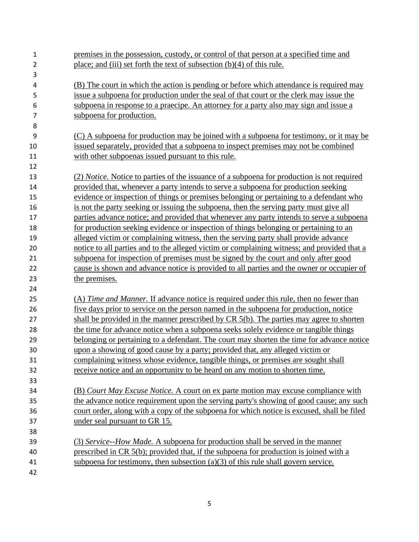| 1  | premises in the possession, custody, or control of that person at a specified time and       |
|----|----------------------------------------------------------------------------------------------|
| 2  | place; and (iii) set forth the text of subsection $(b)(4)$ of this rule.                     |
| 3  |                                                                                              |
| 4  | (B) The court in which the action is pending or before which attendance is required may      |
| 5  | issue a subpoena for production under the seal of that court or the clerk may issue the      |
| 6  | subpoena in response to a praecipe. An attorney for a party also may sign and issue a        |
| 7  | subpoena for production.                                                                     |
| 8  |                                                                                              |
| 9  | (C) A subpoena for production may be joined with a subpoena for testimony, or it may be      |
| 10 | issued separately, provided that a subpoena to inspect premises may not be combined          |
| 11 | with other subpoenas issued pursuant to this rule.                                           |
| 12 |                                                                                              |
| 13 | (2) Notice. Notice to parties of the issuance of a subpoena for production is not required   |
| 14 | provided that, whenever a party intends to serve a subpoena for production seeking           |
| 15 | evidence or inspection of things or premises belonging or pertaining to a defendant who      |
| 16 | is not the party seeking or issuing the subpoena, then the serving party must give all       |
| 17 | parties advance notice; and provided that whenever any party intends to serve a subpoena     |
| 18 | for production seeking evidence or inspection of things belonging or pertaining to an        |
| 19 | alleged victim or complaining witness, then the serving party shall provide advance          |
| 20 | notice to all parties and to the alleged victim or complaining witness; and provided that a  |
| 21 | subpoena for inspection of premises must be signed by the court and only after good          |
| 22 | cause is shown and advance notice is provided to all parties and the owner or occupier of    |
| 23 | the premises.                                                                                |
| 24 |                                                                                              |
| 25 | (A) Time and Manner. If advance notice is required under this rule, then no fewer than       |
| 26 | <u>five days prior to service on the person named in the subpoena for production, notice</u> |
| 27 | shall be provided in the manner prescribed by $CR 5(b)$ . The parties may agree to shorten   |
| 28 | the time for advance notice when a subpoena seeks solely evidence or tangible things         |
| 29 | belonging or pertaining to a defendant. The court may shorten the time for advance notice    |
| 30 | upon a showing of good cause by a party; provided that, any alleged victim or                |
| 31 | complaining witness whose evidence, tangible things, or premises are sought shall            |
| 32 | receive notice and an opportunity to be heard on any motion to shorten time.                 |
| 33 |                                                                                              |
| 34 | (B) Court May Excuse Notice. A court on ex parte motion may excuse compliance with           |
| 35 | the advance notice requirement upon the serving party's showing of good cause; any such      |
| 36 | court order, along with a copy of the subpoena for which notice is excused, shall be filed   |
| 37 | under seal pursuant to GR 15.                                                                |
| 38 |                                                                                              |
| 39 | (3) Service--How Made. A subpoena for production shall be served in the manner               |
| 40 | prescribed in CR 5(b); provided that, if the subpoena for production is joined with a        |
| 41 | subpoena for testimony, then subsection $(a)(3)$ of this rule shall govern service.          |
| 42 |                                                                                              |
|    |                                                                                              |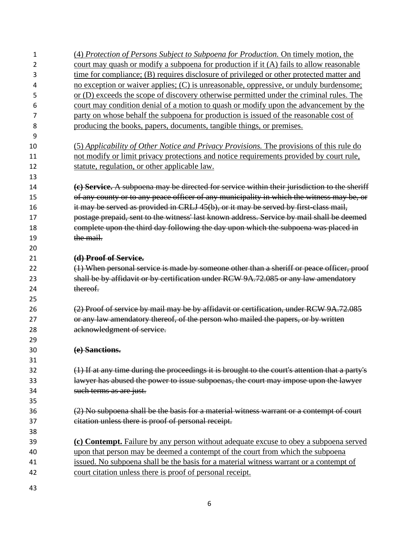| 1  | (4) Protection of Persons Subject to Subpoena for Production. On timely motion, the             |
|----|-------------------------------------------------------------------------------------------------|
| 2  | court may quash or modify a subpoena for production if it (A) fails to allow reasonable         |
| 3  | time for compliance; (B) requires disclosure of privileged or other protected matter and        |
| 4  | no exception or waiver applies; (C) is unreasonable, oppressive, or unduly burdensome;          |
| 5  | or (D) exceeds the scope of discovery otherwise permitted under the criminal rules. The         |
| 6  | court may condition denial of a motion to quash or modify upon the advancement by the           |
| 7  | party on whose behalf the subpoena for production is issued of the reasonable cost of           |
| 8  | producing the books, papers, documents, tangible things, or premises.                           |
| 9  |                                                                                                 |
| 10 | (5) Applicability of Other Notice and Privacy Provisions. The provisions of this rule do        |
| 11 | not modify or limit privacy protections and notice requirements provided by court rule,         |
| 12 | statute, regulation, or other applicable law.                                                   |
| 13 |                                                                                                 |
| 14 | (c) Service. A subpoena may be directed for service within their jurisdiction to the sheriff    |
| 15 | of any county or to any peace officer of any municipality in which the witness may be, or       |
| 16 | it may be served as provided in CRLJ 45(b), or it may be served by first-class mail,            |
| 17 | postage prepaid, sent to the witness' last known address. Service by mail shall be deemed       |
| 18 | complete upon the third day following the day upon which the subpoena was placed in             |
| 19 | the mail.                                                                                       |
| 20 |                                                                                                 |
| 21 | (d) Proof of Service.                                                                           |
| 22 | (1) When personal service is made by someone other than a sheriff or peace officer, proof       |
| 23 | shall be by affidavit or by certification under RCW 9A.72.085 or any law amendatory             |
| 24 | thereof.                                                                                        |
| 25 |                                                                                                 |
| 26 | (2) Proof of service by mail may be by affidavit or certification, under RCW 9A.72.085          |
| 27 | or any law amendatory thereof, of the person who mailed the papers, or by written               |
| 28 | acknowledgment of service.                                                                      |
| 29 |                                                                                                 |
| 30 | (e) Sanctions.                                                                                  |
| 31 |                                                                                                 |
| 32 | (1) If at any time during the proceedings it is brought to the court's attention that a party's |
| 33 | lawyer has abused the power to issue subpoenas, the court may impose upon the lawyer            |
| 34 | such terms as are just.                                                                         |
| 35 |                                                                                                 |
| 36 | (2) No subpoena shall be the basis for a material witness warrant or a contempt of court        |
| 37 | citation unless there is proof of personal receipt.                                             |
| 38 |                                                                                                 |
| 39 | (c) Contempt. Failure by any person without adequate excuse to obey a subpoena served           |
| 40 | upon that person may be deemed a contempt of the court from which the subpoenal                 |
| 41 | issued. No subpoena shall be the basis for a material witness warrant or a contempt of          |
| 42 | court citation unless there is proof of personal receipt.                                       |
| 43 |                                                                                                 |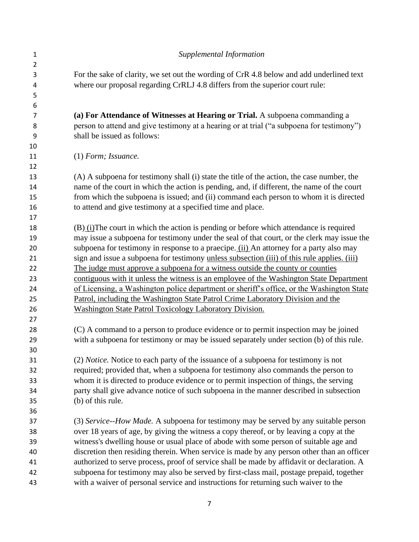| $\mathbf{1}$   | Supplemental Information                                                                                                                                                                                                                                                                                                                                                                                                                                                                                                                                                                                                                                   |
|----------------|------------------------------------------------------------------------------------------------------------------------------------------------------------------------------------------------------------------------------------------------------------------------------------------------------------------------------------------------------------------------------------------------------------------------------------------------------------------------------------------------------------------------------------------------------------------------------------------------------------------------------------------------------------|
| $\overline{2}$ |                                                                                                                                                                                                                                                                                                                                                                                                                                                                                                                                                                                                                                                            |
| 3              | For the sake of clarity, we set out the wording of CrR 4.8 below and add underlined text                                                                                                                                                                                                                                                                                                                                                                                                                                                                                                                                                                   |
| 4              | where our proposal regarding CrRLJ 4.8 differs from the superior court rule:                                                                                                                                                                                                                                                                                                                                                                                                                                                                                                                                                                               |
| 5              |                                                                                                                                                                                                                                                                                                                                                                                                                                                                                                                                                                                                                                                            |
| 6              |                                                                                                                                                                                                                                                                                                                                                                                                                                                                                                                                                                                                                                                            |
| 7              | (a) For Attendance of Witnesses at Hearing or Trial. A subpoena commanding a                                                                                                                                                                                                                                                                                                                                                                                                                                                                                                                                                                               |
| 8              | person to attend and give testimony at a hearing or at trial ("a subpoena for testimony")                                                                                                                                                                                                                                                                                                                                                                                                                                                                                                                                                                  |
| 9              | shall be issued as follows:                                                                                                                                                                                                                                                                                                                                                                                                                                                                                                                                                                                                                                |
| 10             |                                                                                                                                                                                                                                                                                                                                                                                                                                                                                                                                                                                                                                                            |
| 11             | $(1)$ Form; Issuance.                                                                                                                                                                                                                                                                                                                                                                                                                                                                                                                                                                                                                                      |
| 12             |                                                                                                                                                                                                                                                                                                                                                                                                                                                                                                                                                                                                                                                            |
| 13             | (A) A subpoena for testimony shall (i) state the title of the action, the case number, the                                                                                                                                                                                                                                                                                                                                                                                                                                                                                                                                                                 |
| 14             | name of the court in which the action is pending, and, if different, the name of the court                                                                                                                                                                                                                                                                                                                                                                                                                                                                                                                                                                 |
| 15             | from which the subpoena is issued; and (ii) command each person to whom it is directed                                                                                                                                                                                                                                                                                                                                                                                                                                                                                                                                                                     |
| 16             | to attend and give testimony at a specified time and place.                                                                                                                                                                                                                                                                                                                                                                                                                                                                                                                                                                                                |
| 17             |                                                                                                                                                                                                                                                                                                                                                                                                                                                                                                                                                                                                                                                            |
| 18             | $(B)$ (i) The court in which the action is pending or before which attendance is required                                                                                                                                                                                                                                                                                                                                                                                                                                                                                                                                                                  |
| 19             | may issue a subpoena for testimony under the seal of that court, or the clerk may issue the                                                                                                                                                                                                                                                                                                                                                                                                                                                                                                                                                                |
| 20             | subpoena for testimony in response to a praecipe. (ii) An attorney for a party also may                                                                                                                                                                                                                                                                                                                                                                                                                                                                                                                                                                    |
| 21             | sign and issue a subpoena for testimony unless subsection (iii) of this rule applies. (iii)                                                                                                                                                                                                                                                                                                                                                                                                                                                                                                                                                                |
| 22             | The judge must approve a subpoena for a witness outside the county or counties                                                                                                                                                                                                                                                                                                                                                                                                                                                                                                                                                                             |
| 23             | contiguous with it unless the witness is an employee of the Washington State Department                                                                                                                                                                                                                                                                                                                                                                                                                                                                                                                                                                    |
| 24             | of Licensing, a Washington police department or sheriff's office, or the Washington State                                                                                                                                                                                                                                                                                                                                                                                                                                                                                                                                                                  |
| 25             | Patrol, including the Washington State Patrol Crime Laboratory Division and the                                                                                                                                                                                                                                                                                                                                                                                                                                                                                                                                                                            |
| 26             | <b>Washington State Patrol Toxicology Laboratory Division.</b>                                                                                                                                                                                                                                                                                                                                                                                                                                                                                                                                                                                             |
| 27             |                                                                                                                                                                                                                                                                                                                                                                                                                                                                                                                                                                                                                                                            |
| 28             | (C) A command to a person to produce evidence or to permit inspection may be joined                                                                                                                                                                                                                                                                                                                                                                                                                                                                                                                                                                        |
| 29             | with a subpoena for testimony or may be issued separately under section (b) of this rule.                                                                                                                                                                                                                                                                                                                                                                                                                                                                                                                                                                  |
| 30             |                                                                                                                                                                                                                                                                                                                                                                                                                                                                                                                                                                                                                                                            |
| 31             | (2) Notice. Notice to each party of the issuance of a subpoena for testimony is not                                                                                                                                                                                                                                                                                                                                                                                                                                                                                                                                                                        |
| 32             | required; provided that, when a subpoena for testimony also commands the person to                                                                                                                                                                                                                                                                                                                                                                                                                                                                                                                                                                         |
| 33             | whom it is directed to produce evidence or to permit inspection of things, the serving                                                                                                                                                                                                                                                                                                                                                                                                                                                                                                                                                                     |
| 34             |                                                                                                                                                                                                                                                                                                                                                                                                                                                                                                                                                                                                                                                            |
| 35             | (b) of this rule.                                                                                                                                                                                                                                                                                                                                                                                                                                                                                                                                                                                                                                          |
| 36             |                                                                                                                                                                                                                                                                                                                                                                                                                                                                                                                                                                                                                                                            |
| 37             |                                                                                                                                                                                                                                                                                                                                                                                                                                                                                                                                                                                                                                                            |
|                |                                                                                                                                                                                                                                                                                                                                                                                                                                                                                                                                                                                                                                                            |
| 39             |                                                                                                                                                                                                                                                                                                                                                                                                                                                                                                                                                                                                                                                            |
|                |                                                                                                                                                                                                                                                                                                                                                                                                                                                                                                                                                                                                                                                            |
| 41             |                                                                                                                                                                                                                                                                                                                                                                                                                                                                                                                                                                                                                                                            |
| 42             |                                                                                                                                                                                                                                                                                                                                                                                                                                                                                                                                                                                                                                                            |
| 43             | with a waiver of personal service and instructions for returning such waiver to the                                                                                                                                                                                                                                                                                                                                                                                                                                                                                                                                                                        |
| 38<br>40       | party shall give advance notice of such subpoena in the manner described in subsection<br>(3) Service--How Made. A subpoena for testimony may be served by any suitable person<br>over 18 years of age, by giving the witness a copy thereof, or by leaving a copy at the<br>witness's dwelling house or usual place of abode with some person of suitable age and<br>discretion then residing therein. When service is made by any person other than an officer<br>authorized to serve process, proof of service shall be made by affidavit or declaration. A<br>subpoena for testimony may also be served by first-class mail, postage prepaid, together |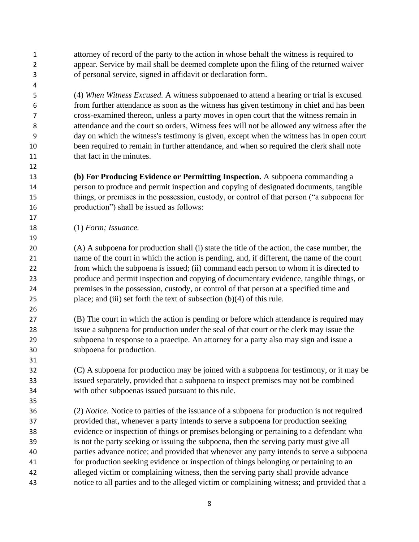attorney of record of the party to the action in whose behalf the witness is required to appear. Service by mail shall be deemed complete upon the filing of the returned waiver of personal service, signed in affidavit or declaration form.

 (4) *When Witness Excused.* A witness subpoenaed to attend a hearing or trial is excused from further attendance as soon as the witness has given testimony in chief and has been cross-examined thereon, unless a party moves in open court that the witness remain in attendance and the court so orders, Witness fees will not be allowed any witness after the day on which the witness's testimony is given, except when the witness has in open court been required to remain in further attendance, and when so required the clerk shall note that fact in the minutes.

 **(b) For Producing Evidence or Permitting Inspection.** A subpoena commanding a person to produce and permit inspection and copying of designated documents, tangible things, or premises in the possession, custody, or control of that person ("a subpoena for production") shall be issued as follows:

(1) *Form; Issuance.*

 (A) A subpoena for production shall (i) state the title of the action, the case number, the name of the court in which the action is pending, and, if different, the name of the court from which the subpoena is issued; (ii) command each person to whom it is directed to produce and permit inspection and copying of documentary evidence, tangible things, or premises in the possession, custody, or control of that person at a specified time and place; and (iii) set forth the text of subsection (b)(4) of this rule.

 (B) The court in which the action is pending or before which attendance is required may issue a subpoena for production under the seal of that court or the clerk may issue the subpoena in response to a praecipe. An attorney for a party also may sign and issue a subpoena for production.

 (C) A subpoena for production may be joined with a subpoena for testimony, or it may be issued separately, provided that a subpoena to inspect premises may not be combined with other subpoenas issued pursuant to this rule.

 (2) *Notice.* Notice to parties of the issuance of a subpoena for production is not required provided that, whenever a party intends to serve a subpoena for production seeking evidence or inspection of things or premises belonging or pertaining to a defendant who is not the party seeking or issuing the subpoena, then the serving party must give all parties advance notice; and provided that whenever any party intends to serve a subpoena for production seeking evidence or inspection of things belonging or pertaining to an alleged victim or complaining witness, then the serving party shall provide advance notice to all parties and to the alleged victim or complaining witness; and provided that a